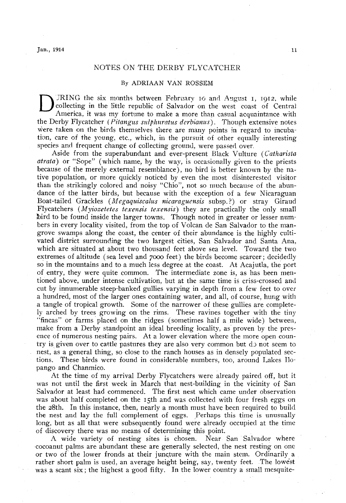## **NOTES ON THE DERBY FLYCATCHER**

## **By ADRIAAN VAN ROSSEM**

**D** IRING the six months between February 16 and August 1, 1912, while collecting in the little republic of Salvador on the west coast of Central America, it was my fortune to make a more than casual acquaintance with **collecting in the little republic of Salvador on the west coast of Central the Derby Flycatcher** (*Pitangus sulphuratus derbianus*). Though extensive notes **were taken on the birds themselves there are many points in regard to incubation, care of the young. etc., which, in the pursuit of other equally interesting species and frequent change of collecting ground, were passed over,** 

Aside from the superabundant and ever-present Black Vulture (Catharista atrata) or "Sope" (which name, by the way, is occasionally given to the priests because of the merely external resemblance), no bird is better known by the na**tive population, or more quickly noticed by even the most disinterested visitor than the strikingly colored and noisy "Chio", not so much because of the abundance of the latter birds, but because with the exception of a few Nicaraguan**  Boat-tailed Grackles (Megaquiscalus nicaraguensis subsp.?) or stray Giraud **Flycatchers (Mviozetetes texensis texensis) they are practically the only small**  bird to be found inside the larger towns. Though noted in greater or lesser num**bers in every locality visited, from the top of Volcan de San Salvador to the mangrove swamps along the coast, the center of their abundance is the highly cultivated district surrounding the two largest cities, San Salvador and Santa Ana, which are situated at about two thousand feet above sea level. Toward the two extremes of altitude (sea level and 7000 feet) the birds become scarcer ; decidedly so in the mountains and to a much less degree at the coast. At Acajutla, the port of entry, they were quite common. The intermediate zone is, as has been mentioned above, under intense cultivation, but at the same time is criss-crossed and cut by innumerable steep-banked gullies varying in depth from a few feet to over a hundred, most of the larger ones containing water, and all, of course, hung with a tangle of tropical growth. Some of the narrower of these gullies are completely arched by trees growing on the rims. These ravines together with the tiny "fincas" or farms'placed on the ridges (sometimes half a mile wide) between,**  make from a Derby standpoint an ideal breeding locality, as proven by the pres**ence of numerous nesting pairs. At a lower elevation where the more open country is given over to cattle pastures they are also very common but do not seem to nest, as a general thing, so close to the ranch houses as in densely populated sections. These birds were found in considerable numbers, too, around Lakes Ilopango and Chanmico.** 

**At the time of my arrival Derby Flycatchers were already paired off, but it was not until the first week in March that nest-building in the vicinity of San Salvador at least had commenced. The first nest which came under observation was about half completed on the 15th and was collected with four fresh eggs on the 28th. In this instance, then, nearly a month must have been required to build**  the nest and lay the full complement of eggs. Perhaps this time is unusually **long, but as all that were subsequently found were already occupied at the time of discovery there was no means of determining this point.** 

**A wide variety of nesting sites is chosen. Near San Salvador where cocoanut palms are abundant these are generally selected, the nest resting on one or two of the lower fronds at their juncture with the main stem. Ordinarily a**  rather short palm is used, an average height being, say, twenty feet. The lowest was a scant six; the highest a good fifty. In the lower country a small mesquite-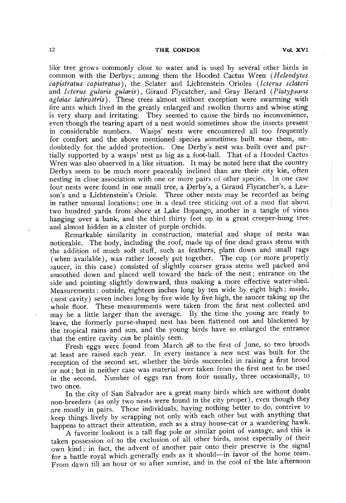## **12 THE CONDOR Vol. XVI**

**like tree grows commonly close to water and is used by several other birds in**  common with the Derbys; among them the Hooded Cactus Wren (Heleodytes capistratus capistratus), the Sclater and Lichtenstein Orioles (Icterus sclateri and Icterus gularis gularis), Giraud Flycatcher, and Gray Becard (Platypsaris **aglglaiae latirostris) . These trees almost without exception were swarming with fire ants which lived in the greatly enlarged and swollen thorns and whose sting is very sharp and irritating. They seemed to cause the birds no inconvenience, even though the tearing apart of a nest would sometimes show the insects present in considerable numbers. Wasps' nests were encountered all too frequently for comfort and the above mentioned species sometimes built near them, undoubtedly for the added protection. One Derby's nest was built over and partially supported by a wasps' nest as big as a foot-ball. That of a Hooded Cactus Wren was also observed in a like situation. It may be noted here that the country Derbys seem to be much more peaceably inclined than are their city kin, often nesting in close association with one or more pairs of other species. In one case four nests were found in one small tree, a Derby's, a Giraud Flycatcher's, a I,es**son's and a Lichtenstein's Oriole. Three other nests may be recorded as being **in rather unusual locations; one in a dead tree sticking out of a mud flat about**  two hundred yards from shore at Lake Ilopango, another in a tangle of vines **hanging over a bank, and the third thirty feet up in a great creeper-hung tree and almost hidden in a cluster of purple orchids.** 

**Remarkable similarity in construction, material and shape of nests was noticeable. The body, including the roof, made up of tine dead grass stems with the addition of much soft stuff, such as feathers, plant down and small rags**  (when available), was rather loosely put together. The cup (or more properly **saucer, in this case) consisted of slightly coarser grass stems well packed and smoothed down and placed well toward the back of the nest; entrance on the side and pointing slightly downward, thus making a more effective water-shed. Measurements : outside, eighteen inches long by ten wide by eight high ; inside, (nest cavity) seven inches long by five wide by five high, the saucer taking up the whole floor. These measurements were taken from the first nest collected and may be a little larger than the average. By the time the young are ready to leave, the formerly purse-shaped nest has been flattened out and blackened by**  the tropical rains and sun, and the young birds have so enlarged the entrance **that the entire cavity can be plainly seen.** 

Fresh eggs were found from March  $28$  to the first of June, so two broods **at least are raised each year. In every instance a new nest was built for the reception of the second set, whether the birds succeeded in raising a first brood or not; but in neither case was material ever taken from the first nest to be used in the second. Number of eggs ran from four usually, three occasionally, to two once.** 

**In the city of San Salvador are a great many birds which are without doubt non-breeders (as only two nests were found in the city proper), even though they are mostly in pairs. These individuals, having nothing better to do, contrive to keep things lively by scrapping not only with each other but with anything that happens to attract their attention, such as a stray house-cat or a wandering hawk.** 

A favorite lookout is a tall flag pole or similar point of vantage, and this is **taken possession of to the exclusion of all other birds, most especially of their own kind; in fact, the advent of another pair onto their preserve is the signal for a battle royal which generally ends as it should-in favor of the home team. From dawn till an hour or so after sunrise, and in the cool of the late afternoon**